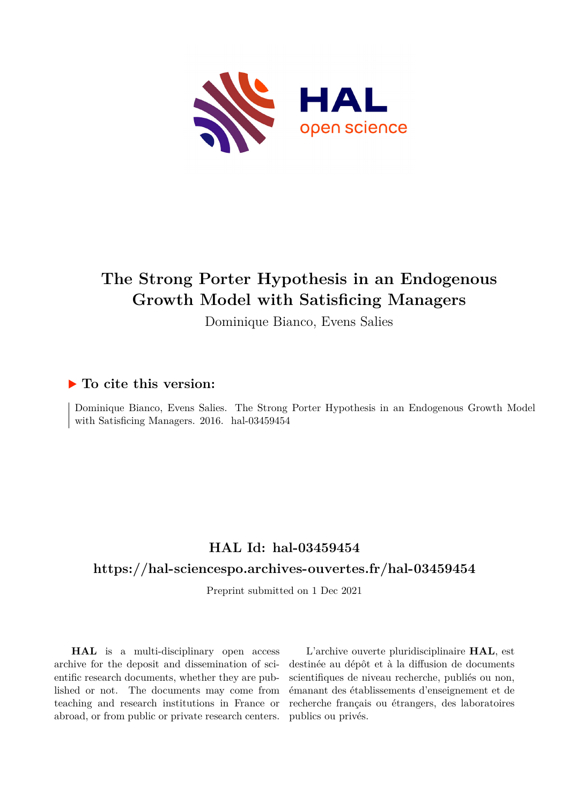

# **The Strong Porter Hypothesis in an Endogenous Growth Model with Satisficing Managers**

Dominique Bianco, Evens Salies

### **To cite this version:**

Dominique Bianco, Evens Salies. The Strong Porter Hypothesis in an Endogenous Growth Model with Satisficing Managers. 2016. hal-03459454

## **HAL Id: hal-03459454**

#### **<https://hal-sciencespo.archives-ouvertes.fr/hal-03459454>**

Preprint submitted on 1 Dec 2021

**HAL** is a multi-disciplinary open access archive for the deposit and dissemination of scientific research documents, whether they are published or not. The documents may come from teaching and research institutions in France or abroad, or from public or private research centers.

L'archive ouverte pluridisciplinaire **HAL**, est destinée au dépôt et à la diffusion de documents scientifiques de niveau recherche, publiés ou non, émanant des établissements d'enseignement et de recherche français ou étrangers, des laboratoires publics ou privés.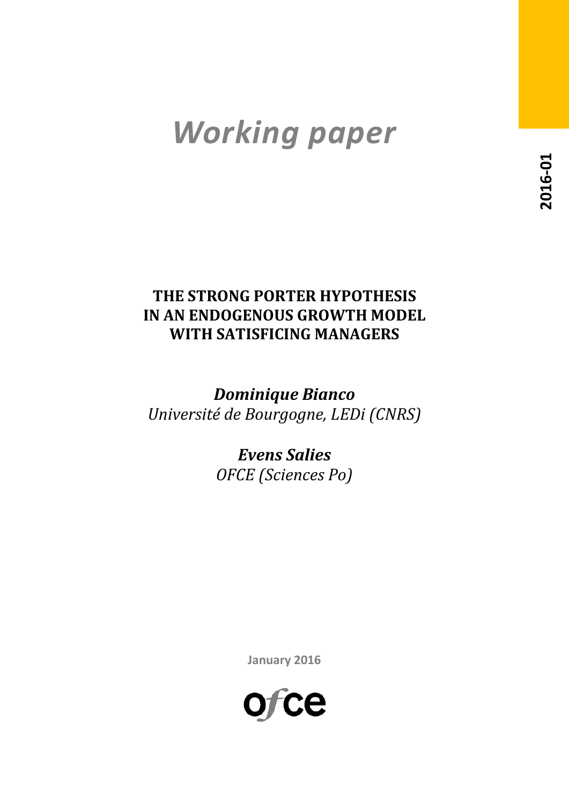# *Working paper*

# **THE STRONG PORTER HYPOTHESIS IN AN ENDOGENOUS GROWTH MODEL WITH SATISFICING MANAGERS**

*Dominique Bianco Université de Bourgogne, LEDi (CNRS)*

> *Evens Salies OFCE (Sciences Po)*

> > **January 2016**

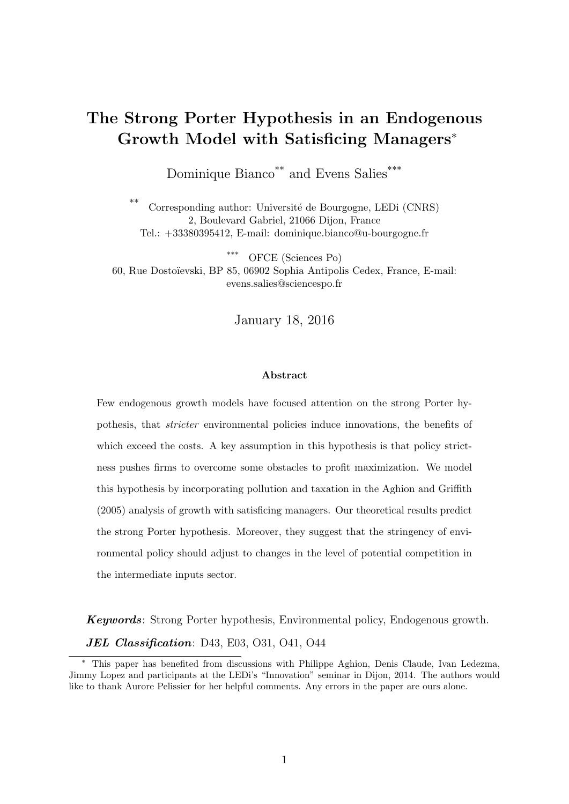# The Strong Porter Hypothesis in an Endogenous Growth Model with Satisficing Managers<sup>∗</sup>

Dominique Bianco<sup>\*\*</sup> and Evens Salies<sup>\*\*\*</sup>

\*\* Corresponding author: Université de Bourgogne, LEDi (CNRS) 2, Boulevard Gabriel, 21066 Dijon, France Tel.: +33380395412, E-mail: dominique.bianco@u-bourgogne.fr

OFCE (Sciences Po) 60, Rue Dosto¨ıevski, BP 85, 06902 Sophia Antipolis Cedex, France, E-mail: evens.salies@sciencespo.fr

January 18, 2016

#### Abstract

Few endogenous growth models have focused attention on the strong Porter hypothesis, that stricter environmental policies induce innovations, the benefits of which exceed the costs. A key assumption in this hypothesis is that policy strictness pushes firms to overcome some obstacles to profit maximization. We model this hypothesis by incorporating pollution and taxation in the Aghion and Griffith (2005) analysis of growth with satisficing managers. Our theoretical results predict the strong Porter hypothesis. Moreover, they suggest that the stringency of environmental policy should adjust to changes in the level of potential competition in the intermediate inputs sector.

Keywords: Strong Porter hypothesis, Environmental policy, Endogenous growth. JEL Classification: D43, E03, O31, O41, O44

<sup>∗</sup> This paper has benefited from discussions with Philippe Aghion, Denis Claude, Ivan Ledezma, Jimmy Lopez and participants at the LEDi's "Innovation" seminar in Dijon, 2014. The authors would like to thank Aurore Pelissier for her helpful comments. Any errors in the paper are ours alone.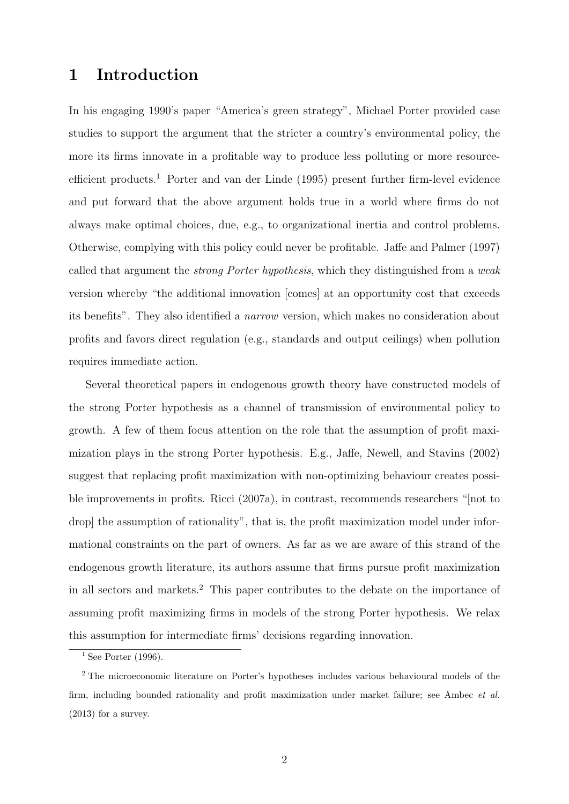# 1 Introduction

In his engaging 1990's paper "America's green strategy", Michael Porter provided case studies to support the argument that the stricter a country's environmental policy, the more its firms innovate in a profitable way to produce less polluting or more resourceefficient products.<sup>1</sup> Porter and van der Linde (1995) present further firm-level evidence and put forward that the above argument holds true in a world where firms do not always make optimal choices, due, e.g., to organizational inertia and control problems. Otherwise, complying with this policy could never be profitable. Jaffe and Palmer (1997) called that argument the strong Porter hypothesis, which they distinguished from a weak version whereby "the additional innovation [comes] at an opportunity cost that exceeds its benefits". They also identified a narrow version, which makes no consideration about profits and favors direct regulation (e.g., standards and output ceilings) when pollution requires immediate action.

Several theoretical papers in endogenous growth theory have constructed models of the strong Porter hypothesis as a channel of transmission of environmental policy to growth. A few of them focus attention on the role that the assumption of profit maximization plays in the strong Porter hypothesis. E.g., Jaffe, Newell, and Stavins (2002) suggest that replacing profit maximization with non-optimizing behaviour creates possible improvements in profits. Ricci (2007a), in contrast, recommends researchers "[not to drop] the assumption of rationality", that is, the profit maximization model under informational constraints on the part of owners. As far as we are aware of this strand of the endogenous growth literature, its authors assume that firms pursue profit maximization in all sectors and markets.<sup>2</sup> This paper contributes to the debate on the importance of assuming profit maximizing firms in models of the strong Porter hypothesis. We relax this assumption for intermediate firms' decisions regarding innovation.

<sup>&</sup>lt;sup>1</sup> See Porter (1996).

<sup>2</sup> The microeconomic literature on Porter's hypotheses includes various behavioural models of the firm, including bounded rationality and profit maximization under market failure; see Ambec et al. (2013) for a survey.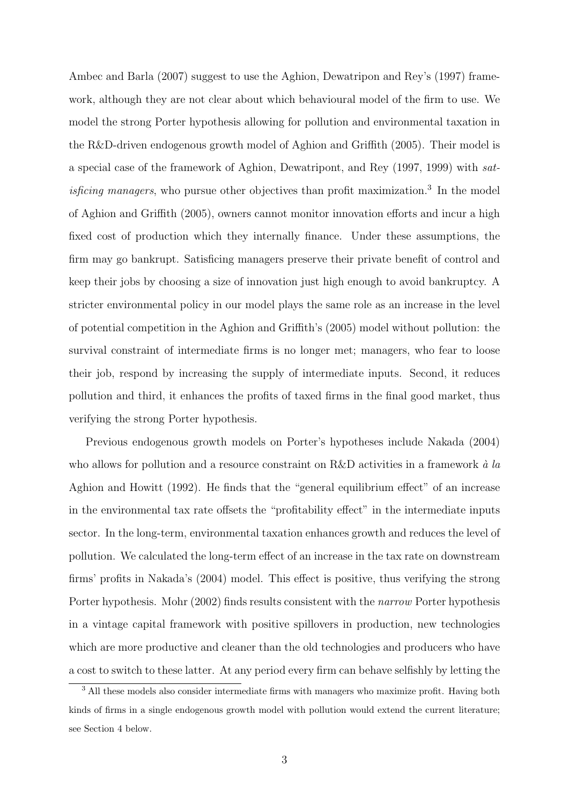Ambec and Barla (2007) suggest to use the Aghion, Dewatripon and Rey's (1997) framework, although they are not clear about which behavioural model of the firm to use. We model the strong Porter hypothesis allowing for pollution and environmental taxation in the R&D-driven endogenous growth model of Aghion and Griffith (2005). Their model is a special case of the framework of Aghion, Dewatripont, and Rey (1997, 1999) with satisficing managers, who pursue other objectives than profit maximization.<sup>3</sup> In the model of Aghion and Griffith (2005), owners cannot monitor innovation efforts and incur a high fixed cost of production which they internally finance. Under these assumptions, the firm may go bankrupt. Satisficing managers preserve their private benefit of control and keep their jobs by choosing a size of innovation just high enough to avoid bankruptcy. A stricter environmental policy in our model plays the same role as an increase in the level of potential competition in the Aghion and Griffith's (2005) model without pollution: the survival constraint of intermediate firms is no longer met; managers, who fear to loose their job, respond by increasing the supply of intermediate inputs. Second, it reduces pollution and third, it enhances the profits of taxed firms in the final good market, thus verifying the strong Porter hypothesis.

Previous endogenous growth models on Porter's hypotheses include Nakada (2004) who allows for pollution and a resource constraint on R&D activities in a framework  $\dot{a}$  la Aghion and Howitt (1992). He finds that the "general equilibrium effect" of an increase in the environmental tax rate offsets the "profitability effect" in the intermediate inputs sector. In the long-term, environmental taxation enhances growth and reduces the level of pollution. We calculated the long-term effect of an increase in the tax rate on downstream firms' profits in Nakada's (2004) model. This effect is positive, thus verifying the strong Porter hypothesis. Mohr (2002) finds results consistent with the narrow Porter hypothesis in a vintage capital framework with positive spillovers in production, new technologies which are more productive and cleaner than the old technologies and producers who have a cost to switch to these latter. At any period every firm can behave selfishly by letting the

<sup>&</sup>lt;sup>3</sup> All these models also consider intermediate firms with managers who maximize profit. Having both kinds of firms in a single endogenous growth model with pollution would extend the current literature; see Section 4 below.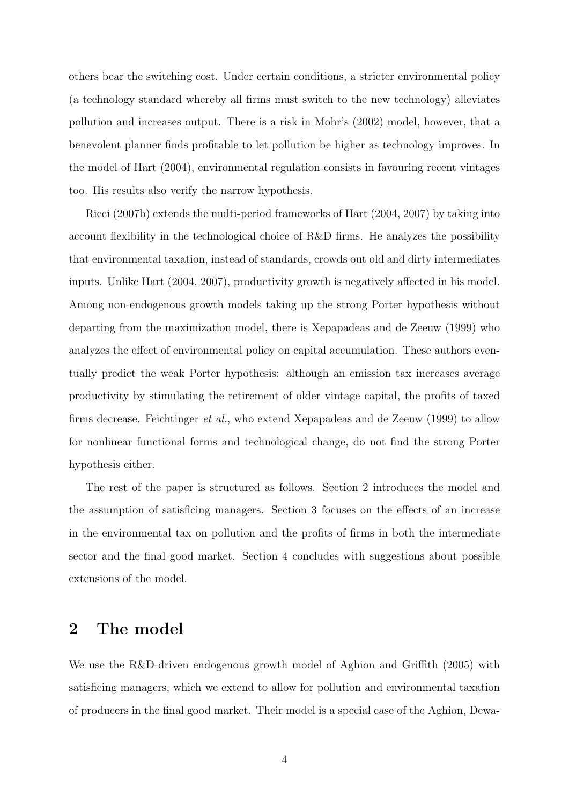others bear the switching cost. Under certain conditions, a stricter environmental policy (a technology standard whereby all firms must switch to the new technology) alleviates pollution and increases output. There is a risk in Mohr's (2002) model, however, that a benevolent planner finds profitable to let pollution be higher as technology improves. In the model of Hart (2004), environmental regulation consists in favouring recent vintages too. His results also verify the narrow hypothesis.

Ricci (2007b) extends the multi-period frameworks of Hart (2004, 2007) by taking into account flexibility in the technological choice of R&D firms. He analyzes the possibility that environmental taxation, instead of standards, crowds out old and dirty intermediates inputs. Unlike Hart (2004, 2007), productivity growth is negatively affected in his model. Among non-endogenous growth models taking up the strong Porter hypothesis without departing from the maximization model, there is Xepapadeas and de Zeeuw (1999) who analyzes the effect of environmental policy on capital accumulation. These authors eventually predict the weak Porter hypothesis: although an emission tax increases average productivity by stimulating the retirement of older vintage capital, the profits of taxed firms decrease. Feichtinger et al., who extend Xepapadeas and de Zeeuw (1999) to allow for nonlinear functional forms and technological change, do not find the strong Porter hypothesis either.

The rest of the paper is structured as follows. Section 2 introduces the model and the assumption of satisficing managers. Section 3 focuses on the effects of an increase in the environmental tax on pollution and the profits of firms in both the intermediate sector and the final good market. Section 4 concludes with suggestions about possible extensions of the model.

## 2 The model

We use the R&D-driven endogenous growth model of Aghion and Griffith (2005) with satisficing managers, which we extend to allow for pollution and environmental taxation of producers in the final good market. Their model is a special case of the Aghion, Dewa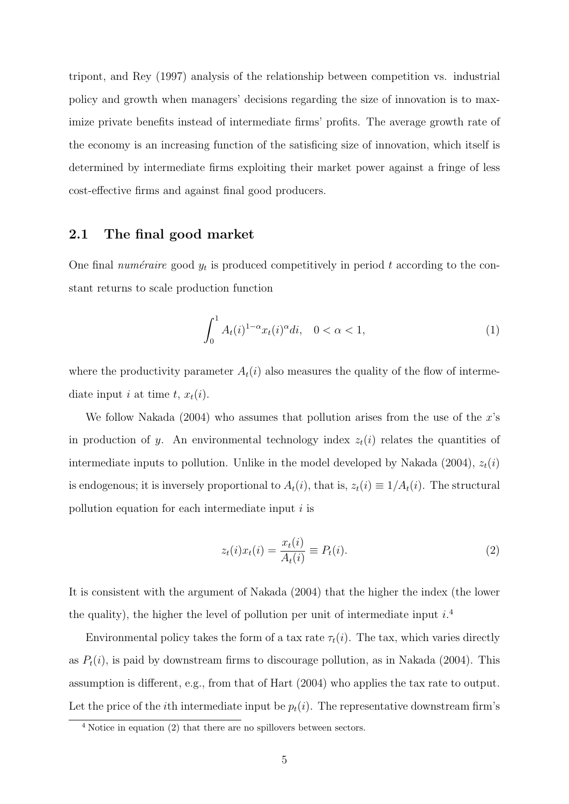tripont, and Rey (1997) analysis of the relationship between competition vs. industrial policy and growth when managers' decisions regarding the size of innovation is to maximize private benefits instead of intermediate firms' profits. The average growth rate of the economy is an increasing function of the satisficing size of innovation, which itself is determined by intermediate firms exploiting their market power against a fringe of less cost-effective firms and against final good producers.

#### 2.1 The final good market

One final *numéraire* good  $y_t$  is produced competitively in period t according to the constant returns to scale production function

$$
\int_0^1 A_t(i)^{1-\alpha} x_t(i)^{\alpha} di, \quad 0 < \alpha < 1,
$$
\n(1)

where the productivity parameter  $A_t(i)$  also measures the quality of the flow of intermediate input i at time t,  $x_t(i)$ .

We follow Nakada  $(2004)$  who assumes that pollution arises from the use of the x's in production of y. An environmental technology index  $z_t(i)$  relates the quantities of intermediate inputs to pollution. Unlike in the model developed by Nakada (2004),  $z_t(i)$ is endogenous; it is inversely proportional to  $A_t(i)$ , that is,  $z_t(i) \equiv 1/A_t(i)$ . The structural pollution equation for each intermediate input  $i$  is

$$
z_t(i)x_t(i) = \frac{x_t(i)}{A_t(i)} \equiv P_t(i). \tag{2}
$$

It is consistent with the argument of Nakada (2004) that the higher the index (the lower the quality), the higher the level of pollution per unit of intermediate input  $i$ .<sup>4</sup>

Environmental policy takes the form of a tax rate  $\tau_t(i)$ . The tax, which varies directly as  $P_t(i)$ , is paid by downstream firms to discourage pollution, as in Nakada (2004). This assumption is different, e.g., from that of Hart (2004) who applies the tax rate to output. Let the price of the *i*th intermediate input be  $p_t(i)$ . The representative downstream firm's

 $4$  Notice in equation (2) that there are no spillovers between sectors.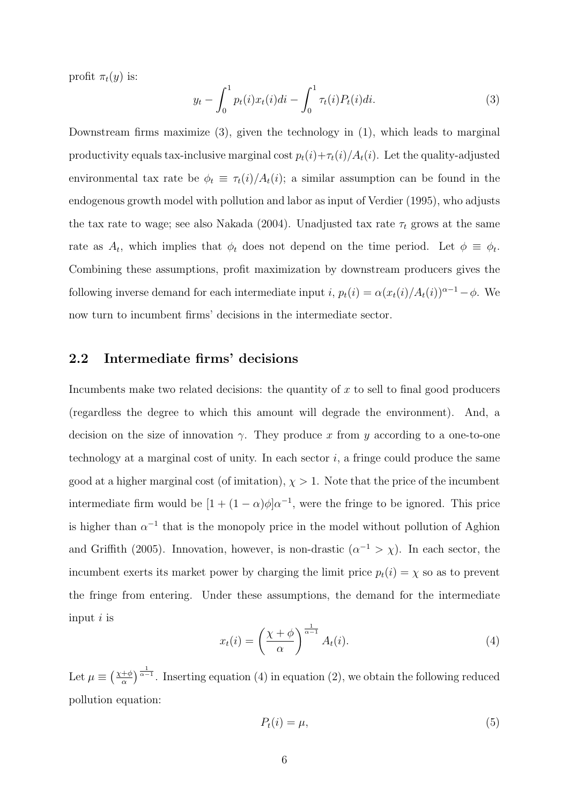profit  $\pi_t(y)$  is:

$$
y_t - \int_0^1 p_t(i)x_t(i)di - \int_0^1 \tau_t(i)P_t(i)di.
$$
 (3)

Downstream firms maximize (3), given the technology in (1), which leads to marginal productivity equals tax-inclusive marginal cost  $p_t(i) + \tau_t(i)/A_t(i)$ . Let the quality-adjusted environmental tax rate be  $\phi_t \equiv \tau_t(i)/A_t(i)$ ; a similar assumption can be found in the endogenous growth model with pollution and labor as input of Verdier (1995), who adjusts the tax rate to wage; see also Nakada (2004). Unadjusted tax rate  $\tau_t$  grows at the same rate as  $A_t$ , which implies that  $\phi_t$  does not depend on the time period. Let  $\phi \equiv \phi_t$ . Combining these assumptions, profit maximization by downstream producers gives the following inverse demand for each intermediate input i,  $p_t(i) = \alpha (x_t(i)/A_t(i))^{\alpha-1} - \phi$ . We now turn to incumbent firms' decisions in the intermediate sector.

#### 2.2 Intermediate firms' decisions

Incumbents make two related decisions: the quantity of  $x$  to sell to final good producers (regardless the degree to which this amount will degrade the environment). And, a decision on the size of innovation  $\gamma$ . They produce x from y according to a one-to-one technology at a marginal cost of unity. In each sector  $i$ , a fringe could produce the same good at a higher marginal cost (of imitation),  $\chi > 1$ . Note that the price of the incumbent intermediate firm would be  $[1 + (1 - \alpha)\phi]\alpha^{-1}$ , were the fringe to be ignored. This price is higher than  $\alpha^{-1}$  that is the monopoly price in the model without pollution of Aghion and Griffith (2005). Innovation, however, is non-drastic  $(\alpha^{-1} > \chi)$ . In each sector, the incumbent exerts its market power by charging the limit price  $p_t(i) = \chi$  so as to prevent the fringe from entering. Under these assumptions, the demand for the intermediate input  $i$  is

$$
x_t(i) = \left(\frac{\chi + \phi}{\alpha}\right)^{\frac{1}{\alpha - 1}} A_t(i).
$$
 (4)

Let  $\mu \equiv \left(\frac{\chi + \phi}{\alpha}\right)$  $\frac{+\phi}{\alpha}$   $\frac{1}{\alpha-1}$ . Inserting equation (4) in equation (2), we obtain the following reduced pollution equation:

$$
P_t(i) = \mu,\tag{5}
$$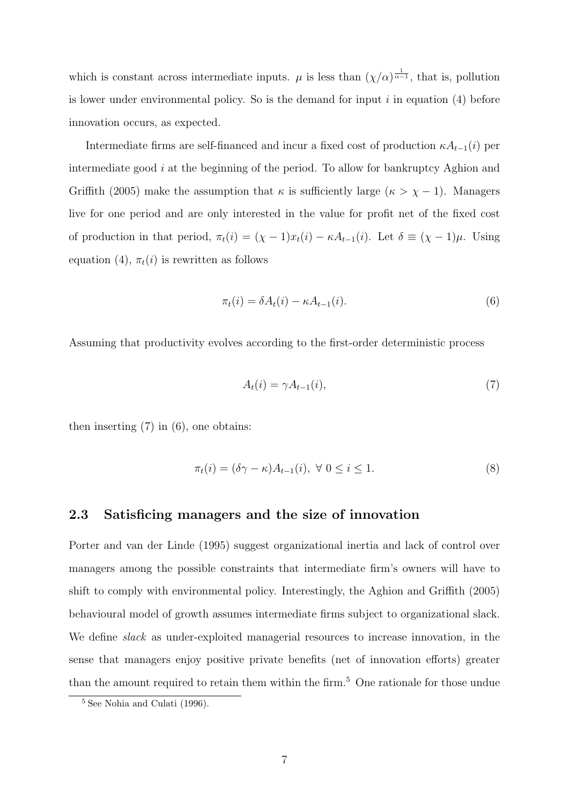which is constant across intermediate inputs.  $\mu$  is less than  $(\chi/\alpha)^{\frac{1}{\alpha-1}}$ , that is, pollution is lower under environmental policy. So is the demand for input  $i$  in equation (4) before innovation occurs, as expected.

Intermediate firms are self-financed and incur a fixed cost of production  $\kappa A_{t-1}(i)$  per intermediate good  $i$  at the beginning of the period. To allow for bankruptcy Aghion and Griffith (2005) make the assumption that  $\kappa$  is sufficiently large ( $\kappa > \chi - 1$ ). Managers live for one period and are only interested in the value for profit net of the fixed cost of production in that period,  $\pi_t(i) = (\chi - 1)x_t(i) - \kappa A_{t-1}(i)$ . Let  $\delta \equiv (\chi - 1)\mu$ . Using equation (4),  $\pi_t(i)$  is rewritten as follows

$$
\pi_t(i) = \delta A_t(i) - \kappa A_{t-1}(i). \tag{6}
$$

Assuming that productivity evolves according to the first-order deterministic process

$$
A_t(i) = \gamma A_{t-1}(i),\tag{7}
$$

then inserting  $(7)$  in  $(6)$ , one obtains:

$$
\pi_t(i) = (\delta \gamma - \kappa) A_{t-1}(i), \ \forall \ 0 \le i \le 1. \tag{8}
$$

#### 2.3 Satisficing managers and the size of innovation

Porter and van der Linde (1995) suggest organizational inertia and lack of control over managers among the possible constraints that intermediate firm's owners will have to shift to comply with environmental policy. Interestingly, the Aghion and Griffith (2005) behavioural model of growth assumes intermediate firms subject to organizational slack. We define *slack* as under-exploited managerial resources to increase innovation, in the sense that managers enjoy positive private benefits (net of innovation efforts) greater than the amount required to retain them within the firm.<sup>5</sup> One rationale for those undue

<sup>5</sup> See Nohia and Culati (1996).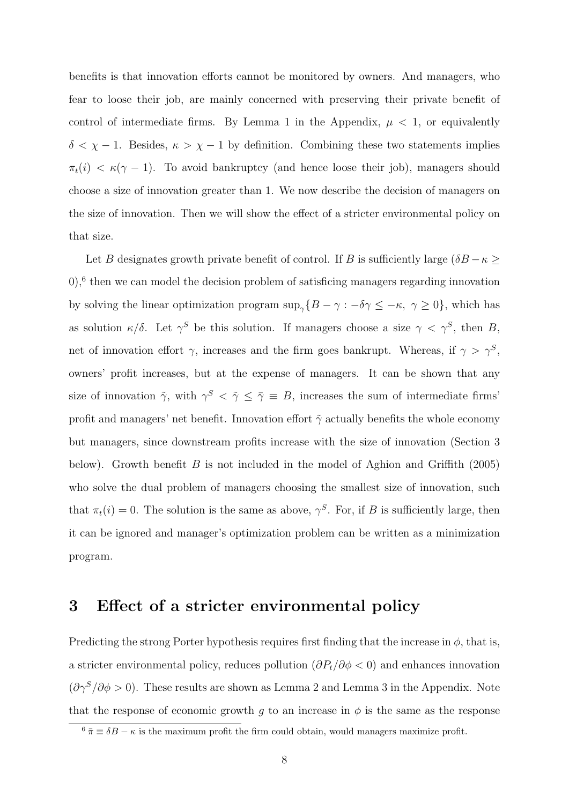benefits is that innovation efforts cannot be monitored by owners. And managers, who fear to loose their job, are mainly concerned with preserving their private benefit of control of intermediate firms. By Lemma 1 in the Appendix,  $\mu$  < 1, or equivalently  $\delta < \chi - 1$ . Besides,  $\kappa > \chi - 1$  by definition. Combining these two statements implies  $\pi_t(i) < \kappa(\gamma - 1)$ . To avoid bankruptcy (and hence loose their job), managers should choose a size of innovation greater than 1. We now describe the decision of managers on the size of innovation. Then we will show the effect of a stricter environmental policy on that size.

Let B designates growth private benefit of control. If B is sufficiently large ( $\delta B - \kappa \geq$  $(0)$ ,<sup>6</sup> then we can model the decision problem of satisficing managers regarding innovation by solving the linear optimization program  $\sup_{\gamma}\{B-\gamma: -\delta\gamma\leq -\kappa,\ \gamma\geq 0\},$  which has as solution  $\kappa/\delta$ . Let  $\gamma^S$  be this solution. If managers choose a size  $\gamma < \gamma^S$ , then B, net of innovation effort  $\gamma$ , increases and the firm goes bankrupt. Whereas, if  $\gamma > \gamma^S$ , owners' profit increases, but at the expense of managers. It can be shown that any size of innovation  $\tilde{\gamma}$ , with  $\gamma^S < \tilde{\gamma} \leq \bar{\gamma} \equiv B$ , increases the sum of intermediate firms' profit and managers' net benefit. Innovation effort  $\tilde{\gamma}$  actually benefits the whole economy but managers, since downstream profits increase with the size of innovation (Section 3 below). Growth benefit  $B$  is not included in the model of Aghion and Griffith (2005) who solve the dual problem of managers choosing the smallest size of innovation, such that  $\pi_t(i) = 0$ . The solution is the same as above,  $\gamma^S$ . For, if B is sufficiently large, then it can be ignored and manager's optimization problem can be written as a minimization program.

# 3 Effect of a stricter environmental policy

Predicting the strong Porter hypothesis requires first finding that the increase in  $\phi$ , that is, a stricter environmental policy, reduces pollution  $(\partial P_t/\partial \phi < 0)$  and enhances innovation  $(\partial \gamma^S/\partial \phi > 0)$ . These results are shown as Lemma 2 and Lemma 3 in the Appendix. Note that the response of economic growth g to an increase in  $\phi$  is the same as the response

 $\overline{6 \pi} \equiv \delta B - \kappa$  is the maximum profit the firm could obtain, would managers maximize profit.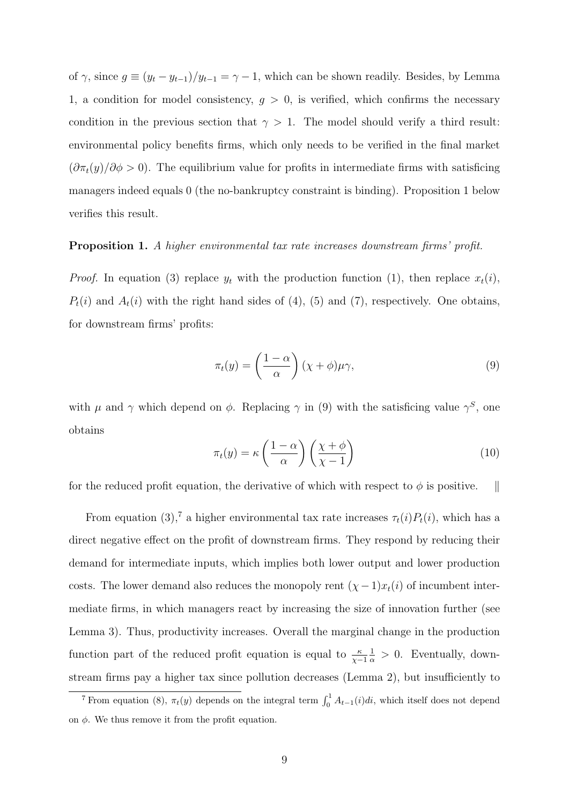of  $\gamma$ , since  $g \equiv (y_t - y_{t-1})/y_{t-1} = \gamma - 1$ , which can be shown readily. Besides, by Lemma 1, a condition for model consistency,  $g > 0$ , is verified, which confirms the necessary condition in the previous section that  $\gamma > 1$ . The model should verify a third result: environmental policy benefits firms, which only needs to be verified in the final market  $(\partial \pi_t(y)/\partial \phi > 0)$ . The equilibrium value for profits in intermediate firms with satisficing managers indeed equals 0 (the no-bankruptcy constraint is binding). Proposition 1 below verifies this result.

#### Proposition 1. A higher environmental tax rate increases downstream firms' profit.

*Proof.* In equation (3) replace  $y_t$  with the production function (1), then replace  $x_t(i)$ ,  $P_t(i)$  and  $A_t(i)$  with the right hand sides of (4), (5) and (7), respectively. One obtains, for downstream firms' profits:

$$
\pi_t(y) = \left(\frac{1-\alpha}{\alpha}\right)(\chi + \phi)\mu\gamma,
$$
\n(9)

with  $\mu$  and  $\gamma$  which depend on  $\phi$ . Replacing  $\gamma$  in (9) with the satisficing value  $\gamma^S$ , one obtains

$$
\pi_t(y) = \kappa \left(\frac{1-\alpha}{\alpha}\right) \left(\frac{\chi + \phi}{\chi - 1}\right) \tag{10}
$$

for the reduced profit equation, the derivative of which with respect to  $\phi$  is positive.

From equation (3),<sup>7</sup> a higher environmental tax rate increases  $\tau_t(i)P_t(i)$ , which has a direct negative effect on the profit of downstream firms. They respond by reducing their demand for intermediate inputs, which implies both lower output and lower production costs. The lower demand also reduces the monopoly rent  $(\chi -1)x_t(i)$  of incumbent intermediate firms, in which managers react by increasing the size of innovation further (see Lemma 3). Thus, productivity increases. Overall the marginal change in the production function part of the reduced profit equation is equal to  $\frac{\kappa}{\chi-1}$  $\frac{1}{\alpha} > 0$ . Eventually, downstream firms pay a higher tax since pollution decreases (Lemma 2), but insufficiently to

<sup>&</sup>lt;sup>7</sup> From equation (8),  $\pi_t(y)$  depends on the integral term  $\int_0^1 A_{t-1}(i)di$ , which itself does not depend on  $\phi$ . We thus remove it from the profit equation.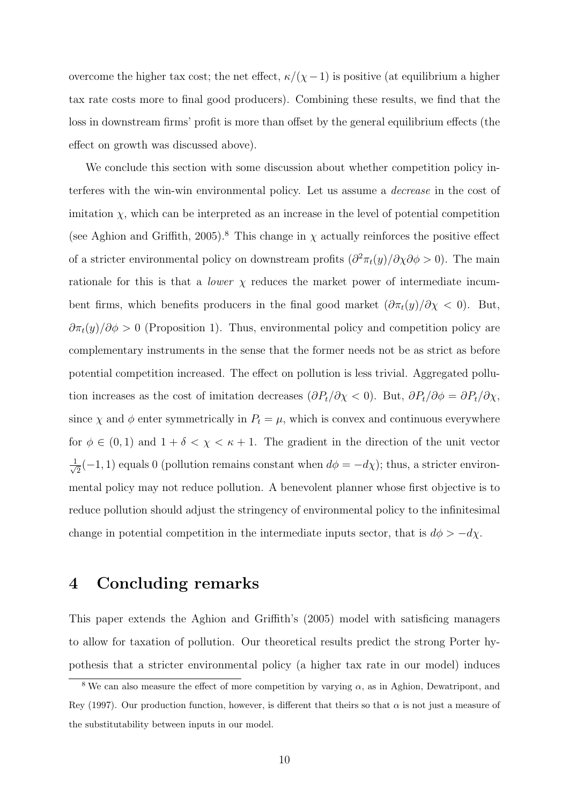overcome the higher tax cost; the net effect,  $\kappa/(\chi-1)$  is positive (at equilibrium a higher tax rate costs more to final good producers). Combining these results, we find that the loss in downstream firms' profit is more than offset by the general equilibrium effects (the effect on growth was discussed above).

We conclude this section with some discussion about whether competition policy interferes with the win-win environmental policy. Let us assume a decrease in the cost of imitation  $\chi$ , which can be interpreted as an increase in the level of potential competition (see Aghion and Griffith, 2005).<sup>8</sup> This change in  $\chi$  actually reinforces the positive effect of a stricter environmental policy on downstream profits  $(\partial^2 \pi_t(y)/\partial \chi \partial \phi > 0)$ . The main rationale for this is that a *lower*  $\chi$  reduces the market power of intermediate incumbent firms, which benefits producers in the final good market  $(\partial \pi_t(y)/\partial \chi < 0)$ . But,  $\partial \pi_t(y)/\partial \phi > 0$  (Proposition 1). Thus, environmental policy and competition policy are complementary instruments in the sense that the former needs not be as strict as before potential competition increased. The effect on pollution is less trivial. Aggregated pollution increases as the cost of imitation decreases  $(\partial P_t/\partial \chi < 0)$ . But,  $\partial P_t/\partial \phi = \partial P_t/\partial \chi$ , since  $\chi$  and  $\phi$  enter symmetrically in  $P_t = \mu$ , which is convex and continuous everywhere for  $\phi \in (0,1)$  and  $1 + \delta < \chi < \kappa + 1$ . The gradient in the direction of the unit vector  $\frac{1}{\sqrt{2}}$  $\frac{1}{2}(-1,1)$  equals 0 (pollution remains constant when  $d\phi = -d\chi$ ); thus, a stricter environmental policy may not reduce pollution. A benevolent planner whose first objective is to reduce pollution should adjust the stringency of environmental policy to the infinitesimal change in potential competition in the intermediate inputs sector, that is  $d\phi > -d\chi$ .

## 4 Concluding remarks

This paper extends the Aghion and Griffith's (2005) model with satisficing managers to allow for taxation of pollution. Our theoretical results predict the strong Porter hypothesis that a stricter environmental policy (a higher tax rate in our model) induces

<sup>&</sup>lt;sup>8</sup> We can also measure the effect of more competition by varying  $\alpha$ , as in Aghion, Dewatripont, and Rey (1997). Our production function, however, is different that theirs so that  $\alpha$  is not just a measure of the substitutability between inputs in our model.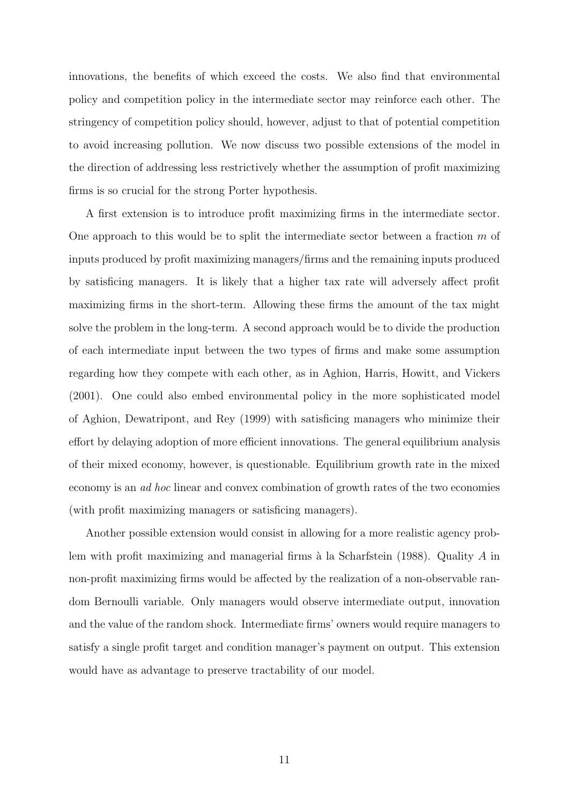innovations, the benefits of which exceed the costs. We also find that environmental policy and competition policy in the intermediate sector may reinforce each other. The stringency of competition policy should, however, adjust to that of potential competition to avoid increasing pollution. We now discuss two possible extensions of the model in the direction of addressing less restrictively whether the assumption of profit maximizing firms is so crucial for the strong Porter hypothesis.

A first extension is to introduce profit maximizing firms in the intermediate sector. One approach to this would be to split the intermediate sector between a fraction  $m$  of inputs produced by profit maximizing managers/firms and the remaining inputs produced by satisficing managers. It is likely that a higher tax rate will adversely affect profit maximizing firms in the short-term. Allowing these firms the amount of the tax might solve the problem in the long-term. A second approach would be to divide the production of each intermediate input between the two types of firms and make some assumption regarding how they compete with each other, as in Aghion, Harris, Howitt, and Vickers (2001). One could also embed environmental policy in the more sophisticated model of Aghion, Dewatripont, and Rey (1999) with satisficing managers who minimize their effort by delaying adoption of more efficient innovations. The general equilibrium analysis of their mixed economy, however, is questionable. Equilibrium growth rate in the mixed economy is an ad hoc linear and convex combination of growth rates of the two economies (with profit maximizing managers or satisficing managers).

Another possible extension would consist in allowing for a more realistic agency problem with profit maximizing and managerial firms à la Scharfstein (1988). Quality  $A$  in non-profit maximizing firms would be affected by the realization of a non-observable random Bernoulli variable. Only managers would observe intermediate output, innovation and the value of the random shock. Intermediate firms' owners would require managers to satisfy a single profit target and condition manager's payment on output. This extension would have as advantage to preserve tractability of our model.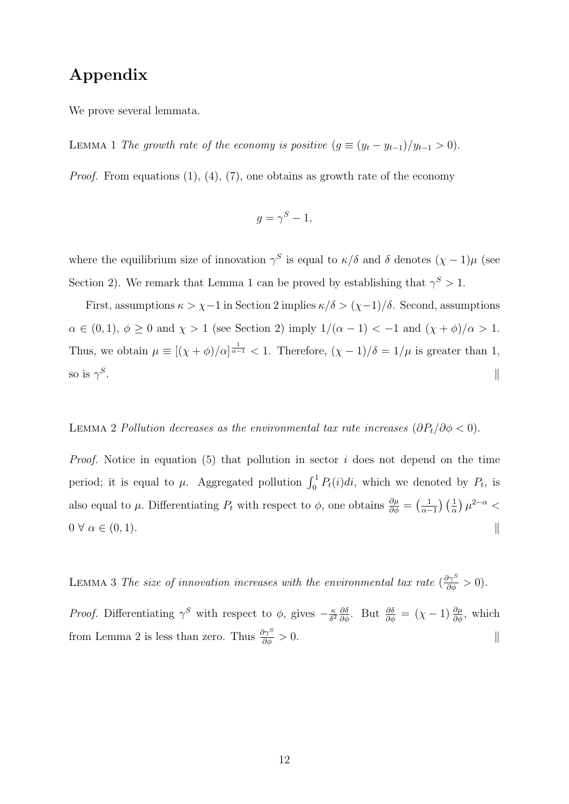# Appendix

We prove several lemmata.

LEMMA 1 The growth rate of the economy is positive  $(g \equiv (y_t - y_{t-1})/y_{t-1} > 0)$ .

*Proof.* From equations (1), (4), (7), one obtains as growth rate of the economy

$$
g = \gamma^S - 1,
$$

where the equilibrium size of innovation  $\gamma^S$  is equal to  $\kappa/\delta$  and  $\delta$  denotes  $(\chi - 1)\mu$  (see Section 2). We remark that Lemma 1 can be proved by establishing that  $\gamma^S > 1$ .

First, assumptions  $\kappa > \chi - 1$  in Section 2 implies  $\kappa/\delta > (\chi - 1)/\delta$ . Second, assumptions  $\alpha \in (0,1), \phi \ge 0$  and  $\chi > 1$  (see Section 2) imply  $1/(\alpha - 1) < -1$  and  $(\chi + \phi)/\alpha > 1$ . Thus, we obtain  $\mu \equiv [(\chi + \phi)/\alpha]^{\frac{1}{\alpha - 1}} < 1$ . Therefore,  $(\chi - 1)/\delta = 1/\mu$  is greater than 1, so is  $\gamma^S$ . As a constant of the constant of the constant  $\mathbb{R}^n$ 

#### LEMMA 2 Pollution decreases as the environmental tax rate increases  $(\partial P_t/\partial \phi < 0)$ .

*Proof.* Notice in equation (5) that pollution in sector  $i$  does not depend on the time period; it is equal to  $\mu$ . Aggregated pollution  $\int_0^1 P_t(i)di$ , which we denoted by  $P_t$ , is also equal to  $\mu$ . Differentiating  $P_t$  with respect to  $\phi$ , one obtains  $\frac{\partial \mu}{\partial \phi} = \left(\frac{1}{\alpha - 1}\right)$  $\frac{1}{\alpha-1}$ )  $\left(\frac{1}{\alpha}\right) \mu^{2-\alpha}$  <  $0 \forall \alpha \in (0,1).$ 

LEMMA 3 The size of innovation increases with the environmental tax rate  $(\frac{\partial \gamma^S}{\partial \phi} > 0)$ .

*Proof.* Differentiating  $\gamma^S$  with respect to  $\phi$ , gives  $-\frac{\kappa}{\delta^2}$  $\frac{\kappa}{\delta^2} \frac{\partial \delta}{\partial \phi}$ . But  $\frac{\partial \delta}{\partial \phi} = (\chi - 1) \frac{\partial \mu}{\partial \phi}$ , which from Lemma 2 is less than zero. Thus  $\frac{\partial \gamma^S}{\partial \phi} > 0$ .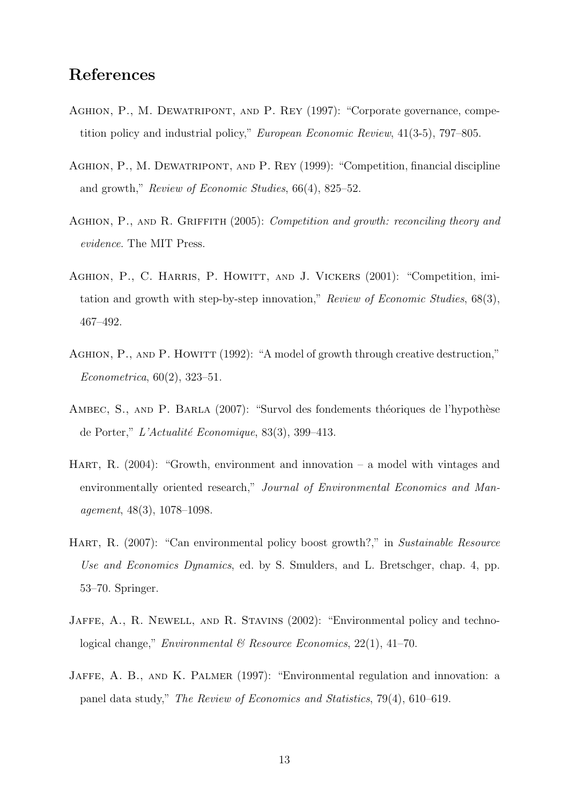# References

- AGHION, P., M. DEWATRIPONT, AND P. REY (1997): "Corporate governance, competition policy and industrial policy," European Economic Review, 41(3-5), 797–805.
- Aghion, P., M. Dewatripont, and P. Rey (1999): "Competition, financial discipline and growth," Review of Economic Studies, 66(4), 825–52.
- AGHION, P., AND R. GRIFFITH (2005): Competition and growth: reconciling theory and evidence. The MIT Press.
- AGHION, P., C. HARRIS, P. HOWITT, AND J. VICKERS (2001): "Competition, imitation and growth with step-by-step innovation," Review of Economic Studies, 68(3), 467–492.
- AGHION, P., AND P. HOWITT (1992): "A model of growth through creative destruction," Econometrica, 60(2), 323–51.
- AMBEC, S., AND P. BARLA (2007): "Survol des fondements théoriques de l'hypothèse de Porter,"  $L'Actualité Economic, 83(3), 399-413.$
- HART, R.  $(2004)$ : "Growth, environment and innovation a model with vintages and environmentally oriented research," Journal of Environmental Economics and Management, 48(3), 1078–1098.
- HART, R. (2007): "Can environmental policy boost growth?," in Sustainable Resource Use and Economics Dynamics, ed. by S. Smulders, and L. Bretschger, chap. 4, pp. 53–70. Springer.
- Jaffe, A., R. Newell, and R. Stavins (2002): "Environmental policy and technological change," Environmental & Resource Economics, 22(1), 41-70.
- JAFFE, A. B., AND K. PALMER (1997): "Environmental regulation and innovation: a panel data study," The Review of Economics and Statistics, 79(4), 610–619.